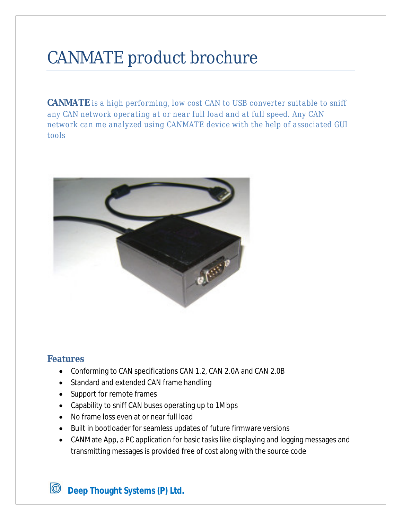# CANMATE product brochure

**CANMATE** *is a high performing, low cost CAN to USB converter suitable to sniff any CAN network operating at or near full load and at full speed. Any CAN network can me analyzed using CANMATE device with the help of associated GUI tools*



## **Features**

- Conforming to CAN specifications CAN 1.2, CAN 2.0A and CAN 2.0B
- Standard and extended CAN frame handling
- Support for remote frames
- Capability to sniff CAN buses operating up to 1Mbps
- No frame loss even at or near full load
- Built in bootloader for seamless updates of future firmware versions
- CANMate App, a PC application for basic tasks like displaying and logging messages and transmitting messages is provided free of cost along with the source code

 $\circledcirc$ **Deep Thought Systems (P) Ltd.**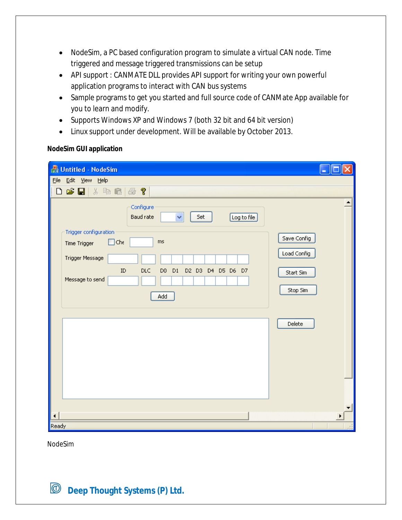- NodeSim, a PC based configuration program to simulate a virtual CAN node. Time triggered and message triggered transmissions can be setup
- API support : CANMATE DLL provides API support for writing your own powerful application programs to interact with CAN bus systems
- Sample programs to get you started and full source code of CANMate App available for you to learn and modify.
- Supports Windows XP and Windows 7 (both 32 bit and 64 bit version)
- Linux support under development. Will be available by October 2013.

## **NodeSim GUI application**

| <b>A</b> Untitled - NodeSim                                                            |             |  |  |  |  |  |  |  |  |  |  |  |  |
|----------------------------------------------------------------------------------------|-------------|--|--|--|--|--|--|--|--|--|--|--|--|
| ${\sf Eile}$<br>Edit View Help                                                         |             |  |  |  |  |  |  |  |  |  |  |  |  |
| c l<br>$\Box$<br>人生日<br>?<br>6                                                         |             |  |  |  |  |  |  |  |  |  |  |  |  |
| Configure<br>Y<br><b>Baud rate</b><br>Set<br>Log to file                               |             |  |  |  |  |  |  |  |  |  |  |  |  |
| Trigger configuration<br>Save Config<br>$\Box$ Che<br>ms                               |             |  |  |  |  |  |  |  |  |  |  |  |  |
| Time Trigger                                                                           | Load Config |  |  |  |  |  |  |  |  |  |  |  |  |
| Trigger Message                                                                        |             |  |  |  |  |  |  |  |  |  |  |  |  |
| <b>DLC</b><br>$\rm ID$<br>D <sub>0</sub><br>D1<br>D2 D3 D4 D5 D6 D7<br>Message to send | Start Sim   |  |  |  |  |  |  |  |  |  |  |  |  |
| Add                                                                                    | Stop Sim    |  |  |  |  |  |  |  |  |  |  |  |  |
|                                                                                        |             |  |  |  |  |  |  |  |  |  |  |  |  |
|                                                                                        | Delete      |  |  |  |  |  |  |  |  |  |  |  |  |
|                                                                                        |             |  |  |  |  |  |  |  |  |  |  |  |  |
|                                                                                        |             |  |  |  |  |  |  |  |  |  |  |  |  |
|                                                                                        |             |  |  |  |  |  |  |  |  |  |  |  |  |
|                                                                                        |             |  |  |  |  |  |  |  |  |  |  |  |  |
|                                                                                        |             |  |  |  |  |  |  |  |  |  |  |  |  |
| ◀                                                                                      |             |  |  |  |  |  |  |  |  |  |  |  |  |
| Ready                                                                                  |             |  |  |  |  |  |  |  |  |  |  |  |  |

NodeSim

**Deep Thought Systems (P) Ltd.**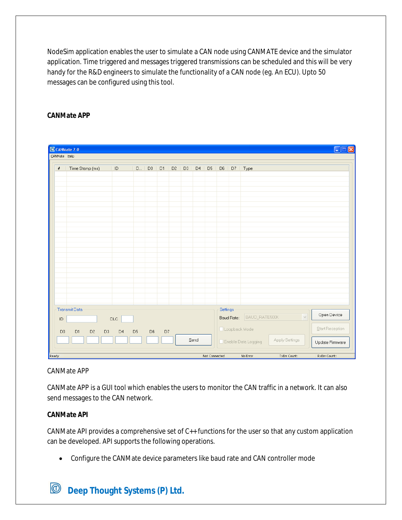NodeSim application enables the user to simulate a CAN node using CANMATE device and the simulator application. Time triggered and messages triggered transmissions can be scheduled and this will be very handy for the R&D engineers to simulate the functionality of a CAN node (eg. An ECU). Upto 50 messages can be configured using this tool.

## **CANMate APP**

| CANMate 2.0<br>H<br>lxl<br>Е<br>CANMate Help                              |                                                                                                    |                |  |                   |  |  |             |  |  |          |                                   |                                              |
|---------------------------------------------------------------------------|----------------------------------------------------------------------------------------------------|----------------|--|-------------------|--|--|-------------|--|--|----------|-----------------------------------|----------------------------------------------|
| $\#$                                                                      | Time Stamp (ms)                                                                                    | $\vert$ ID     |  | $D$   $D0$   $D1$ |  |  | $D2$   $D3$ |  |  |          |                                   | D4   D5   D6   D7   Type                     |
|                                                                           |                                                                                                    |                |  |                   |  |  |             |  |  |          |                                   |                                              |
|                                                                           |                                                                                                    |                |  |                   |  |  |             |  |  |          |                                   |                                              |
|                                                                           |                                                                                                    |                |  |                   |  |  |             |  |  |          |                                   |                                              |
|                                                                           |                                                                                                    |                |  |                   |  |  |             |  |  |          |                                   |                                              |
|                                                                           |                                                                                                    |                |  |                   |  |  |             |  |  |          |                                   |                                              |
|                                                                           |                                                                                                    |                |  |                   |  |  |             |  |  |          |                                   |                                              |
|                                                                           |                                                                                                    |                |  |                   |  |  |             |  |  |          |                                   |                                              |
|                                                                           |                                                                                                    |                |  |                   |  |  |             |  |  |          |                                   |                                              |
|                                                                           |                                                                                                    |                |  |                   |  |  |             |  |  |          |                                   |                                              |
|                                                                           |                                                                                                    |                |  |                   |  |  |             |  |  |          |                                   |                                              |
|                                                                           |                                                                                                    |                |  |                   |  |  |             |  |  |          |                                   |                                              |
|                                                                           |                                                                                                    |                |  |                   |  |  |             |  |  |          |                                   |                                              |
|                                                                           | <b>Transmit Data</b>                                                                               |                |  |                   |  |  |             |  |  | Settings |                                   |                                              |
| ID                                                                        |                                                                                                    | $\mathsf{DLC}$ |  |                   |  |  |             |  |  |          | Baud Rate:                        | Open Device<br>$\checkmark$<br>BAUD_RATE500K |
| $\mathsf{D}0$                                                             | D <sub>2</sub><br>D <sub>1</sub><br>D3<br>D <sub>4</sub><br>D <sub>5</sub><br>D <sub>6</sub><br>D7 |                |  |                   |  |  |             |  |  |          |                                   | Start Reception<br>Loopback Mode             |
| Send<br>Enable Data Logging                                               |                                                                                                    |                |  |                   |  |  |             |  |  |          | Apply Settings<br>Update Firmware |                                              |
| Ready<br>Not Connected<br>No Error<br>TxErr Count:<br><b>RxErr Count:</b> |                                                                                                    |                |  |                   |  |  |             |  |  |          |                                   |                                              |

### CANMate APP

CANMate APP is a GUI tool which enables the users to monitor the CAN traffic in a network. It can also send messages to the CAN network.

### **CANMate API**

CANMate API provides a comprehensive set of C++ functions for the user so that any custom application can be developed. API supports the following operations.

Configure the CANMate device parameters like baud rate and CAN controller mode

#### $\circledcirc$ **Deep Thought Systems (P) Ltd.**